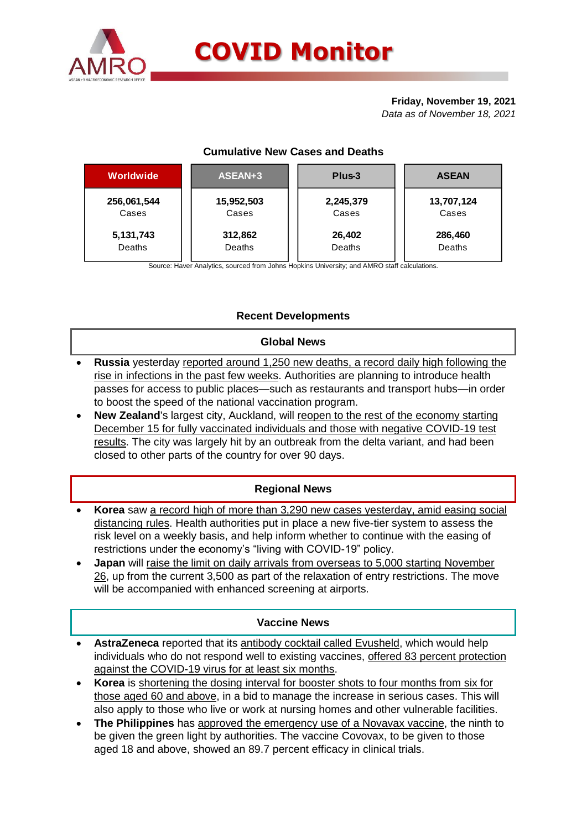

# **Friday, November 19, 2021**

*Data as of November 18, 2021*

# **Cumulative New Cases and Deaths**

| Worldwide   | ASEAN+3    | Plus-3    | <b>ASEAN</b> |  |  |
|-------------|------------|-----------|--------------|--|--|
| 256,061,544 | 15,952,503 | 2,245,379 | 13,707,124   |  |  |
| Cases       | Cases      | Cases     | Cases        |  |  |
| 5,131,743   | 312,862    | 26,402    | 286,460      |  |  |
| Deaths      | Deaths     | Deaths    | Deaths       |  |  |

Source: Haver Analytics, sourced from Johns Hopkins University; and AMRO staff calculations.

# **Recent Developments**

# **Global News**

- **Russia** yesterday reported around 1,250 new deaths, a record daily high following the rise in infections in the past few weeks. Authorities are planning to introduce health passes for access to public places—such as restaurants and transport hubs—in order to boost the speed of the national vaccination program.
- **New Zealand**'s largest city, Auckland, will reopen to the rest of the economy starting December 15 for fully vaccinated individuals and those with negative COVID-19 test results. The city was largely hit by an outbreak from the delta variant, and had been closed to other parts of the country for over 90 days.

# **Regional News**

- **Korea** saw a record high of more than 3,290 new cases yesterday, amid easing social distancing rules. Health authorities put in place a new five-tier system to assess the risk level on a weekly basis, and help inform whether to continue with the easing of restrictions under the economy's "living with COVID-19" policy.
- **Japan** will raise the limit on daily arrivals from overseas to 5,000 starting November 26, up from the current 3,500 as part of the relaxation of entry restrictions. The move will be accompanied with enhanced screening at airports.

# **Vaccine News**

- **AstraZeneca** reported that its antibody cocktail called Evusheld, which would help individuals who do not respond well to existing vaccines, offered 83 percent protection against the COVID-19 virus for at least six months.
- **Korea** is shortening the dosing interval for booster shots to four months from six for those aged 60 and above, in a bid to manage the increase in serious cases. This will also apply to those who live or work at nursing homes and other vulnerable facilities.
- **The Philippines** has approved the emergency use of a Novavax vaccine, the ninth to be given the green light by authorities. The vaccine Covovax, to be given to those aged 18 and above, showed an 89.7 percent efficacy in clinical trials.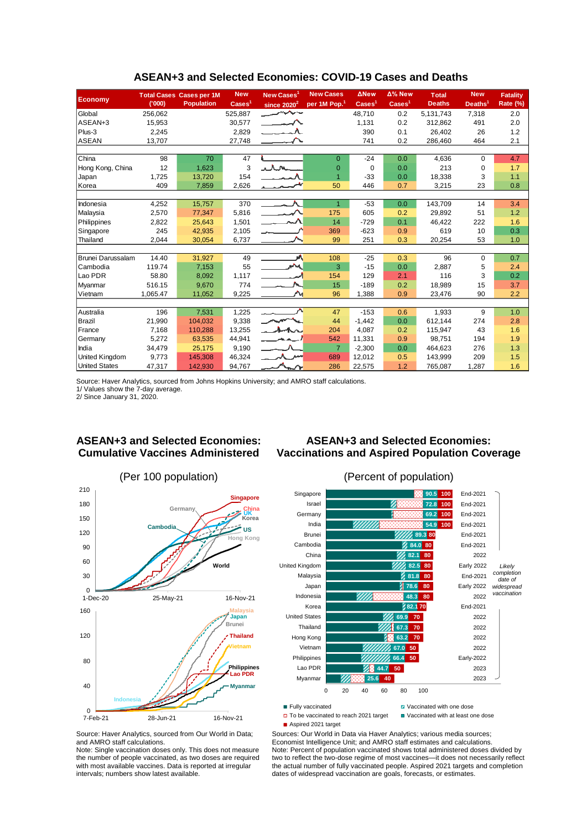|                      |          | <b>Total Cases Cases per 1M</b> | <b>New</b>               | New Cases <sup>1</sup>                            | <b>New Cases</b>         | <b>ANew</b>              | Δ% New                   | <b>Total</b>  | <b>New</b>          | <b>Fatality</b> |
|----------------------|----------|---------------------------------|--------------------------|---------------------------------------------------|--------------------------|--------------------------|--------------------------|---------------|---------------------|-----------------|
| <b>Economy</b>       | (000)    | <b>Population</b>               | $\text{Case} \text{s}^1$ | since $2020^2$                                    | per 1M Pop. <sup>1</sup> | $\text{Case} \text{s}^1$ | $\text{Case} \text{s}^1$ | <b>Deaths</b> | Deaths <sup>1</sup> | Rate (%)        |
| Global               | 256.062  |                                 | 525,887                  | للممسر                                            |                          | 48.710                   | 0.2                      | 5.131.743     | 7,318               | 2.0             |
| ASEAN+3              | 15,953   |                                 | 30,577                   | $\longrightarrow \wedge$                          |                          | 1,131                    | 0.2                      | 312,862       | 491                 | 2.0             |
| Plus-3               | 2,245    |                                 | 2,829                    |                                                   |                          | 390                      | 0.1                      | 26.402        | 26                  | 1.2             |
| <b>ASEAN</b>         | 13,707   |                                 | 27,748                   |                                                   |                          | 741                      | 0.2                      | 286.460       | 464                 | 2.1             |
|                      |          |                                 |                          |                                                   |                          |                          |                          |               |                     |                 |
| China                | 98       | 70                              | 47                       |                                                   | $\Omega$                 | $-24$                    | 0.0                      | 4,636         | $\Omega$            | 4.7             |
| Hong Kong, China     | 12       | 1,623                           | 3                        | ilm                                               | $\Omega$                 | $\Omega$                 | 0.0                      | 213           | 0                   | 1.7             |
| Japan                | 1,725    | 13,720                          | 154                      |                                                   | $\overline{1}$           | $-33$                    | 0.0                      | 18,338        | 3                   | 1.1             |
| Korea                | 409      | 7,859                           | 2,626                    |                                                   | 50                       | 446                      | 0.7                      | 3,215         | 23                  | 0.8             |
|                      |          |                                 |                          |                                                   |                          |                          |                          |               |                     |                 |
| Indonesia            | 4,252    | 15,757                          | 370                      |                                                   | $\overline{1}$           | $-53$                    | 0.0                      | 143,709       | 14                  | 3.4             |
| Malaysia             | 2,570    | 77,347                          | 5,816                    | $\overline{\phantom{a}}$                          | 175                      | 605                      | 0.2                      | 29.892        | 51                  | 1.2             |
| Philippines          | 2,822    | 25,643                          | 1,501                    |                                                   | 14                       | $-729$                   | 0.1                      | 46,422        | 222                 | 1.6             |
| Singapore            | 245      | 42,935                          | 2,105                    |                                                   | 369                      | $-623$                   | 0.9                      | 619           | 10                  | 0.3             |
| Thailand             | 2,044    | 30,054                          | 6,737                    |                                                   | 99                       | 251                      | 0.3                      | 20,254        | 53                  | 1.0             |
|                      |          |                                 |                          |                                                   |                          |                          |                          |               |                     |                 |
| Brunei Darussalam    | 14.40    | 31,927                          | 49                       | aA.                                               | 108                      | $-25$                    | 0.3                      | 96            | 0                   | 0.7             |
| Cambodia             | 119.74   | 7,153                           | 55                       | M                                                 | 3                        | $-15$                    | 0.0                      | 2,887         | 5                   | 2.4             |
| Lao PDR              | 58.80    | 8,092                           | 1,117                    |                                                   | 154                      | 129                      | 2.1                      | 116           | 3                   | 0.2             |
| Myanmar              | 516.15   | 9,670                           | 774                      |                                                   | 15                       | $-189$                   | 0.2                      | 18,989        | 15                  | 3.7             |
| Vietnam              | 1,065.47 | 11,052                          | 9,225                    |                                                   | 96                       | 1,388                    | 0.9                      | 23,476        | 90                  | 2.2             |
|                      |          |                                 |                          |                                                   |                          |                          |                          |               |                     |                 |
| Australia            | 196      | 7,531                           | 1,225                    |                                                   | 47                       | $-153$                   | 0.6                      | 1,933         | 9                   | 1.0             |
| Brazil               | 21,990   | 104,032                         | 9,338                    |                                                   | 44                       | $-1,442$                 | 0.0                      | 612,144       | 274                 | 2.8             |
| France               | 7,168    | 110,288                         | 13,255                   | $\lambda$                                         | 204                      | 4,087                    | 0.2                      | 115,947       | 43                  | 1.6             |
| Germany              | 5,272    | 63,535                          | 44,941                   |                                                   | 542                      | 11,331                   | 0.9                      | 98,751        | 194                 | 1.9             |
| India                | 34,479   | 25,175                          | 9,190                    |                                                   | $\overline{7}$           | $-2,300$                 | 0.0                      | 464,623       | 276                 | 1.3             |
| United Kingdom       | 9,773    | 145,308                         | 46,324                   | ۰۸.                                               | 689                      | 12,012                   | 0.5                      | 143,999       | 209                 | 1.5             |
| <b>United States</b> | 47,317   | 142,930                         | 94,767                   | $\mathcal{M}_{\underbar{\bf{m}}\mathbf{\Lambda}}$ | 286                      | 22,575                   | 1.2                      | 765,087       | 1,287               | 1.6             |

#### **ASEAN+3 and Selected Economies: COVID-19 Cases and Deaths**

Source: Haver Analytics, sourced from Johns Hopkins University; and AMRO staff calculations.

1/ Values show the 7-day average. 2/ Since January 31, 2020.

# **ASEAN+3 and Selected Economies:**

**Cumulative Vaccines Administered**

# **ASEAN+3 and Selected Economies: Vaccinations and Aspired Population Coverage**





■ Fully vaccinated **Vaccinated Vaccinated with one dose** □ To be vaccinated to reach 2021 target ■ Vaccinated with at least one dose

Source: Haver Analytics, sourced from Our World in Data; and AMRO staff calculations.

Note: Single vaccination doses only. This does not measure the number of people vaccinated, as two doses are required with most available vaccines. Data is reported at irregular intervals; numbers show latest available.

Sources: Our World in Data via Haver Analytics; various media sources; Economist Intelligence Unit; and AMRO staff estimates and calculations. Note: Percent of population vaccinated shows total administered doses divided by two to reflect the two-dose regime of most vaccines—it does not necessarily reflect the actual number of fully vaccinated people. Aspired 2021 targets and completion dates of widespread vaccination are goals, forecasts, or estimates.

<sup>■</sup> Aspired 2021 target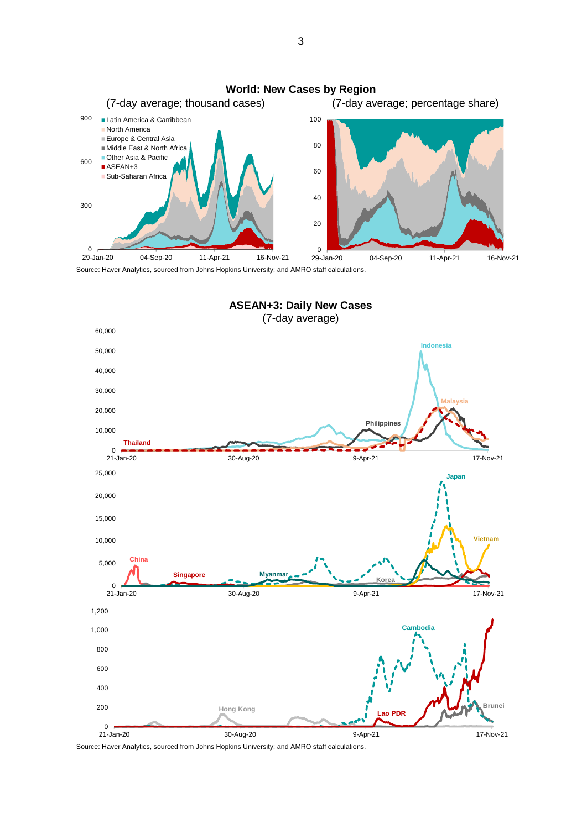



Source: Haver Analytics, sourced from Johns Hopkins University; and AMRO staff calculations.